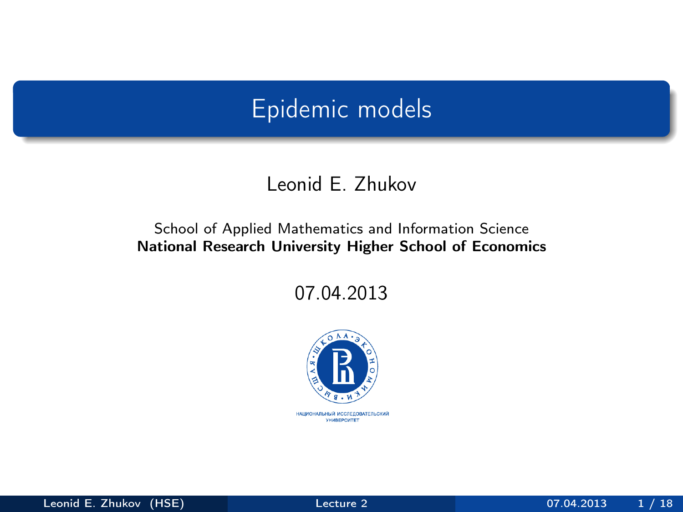## Epidemic models

#### Leonid E. Zhukov

#### School of Applied Mathematics and Information Science National Research University Higher School of Economics

07.04.2013

<span id="page-0-0"></span>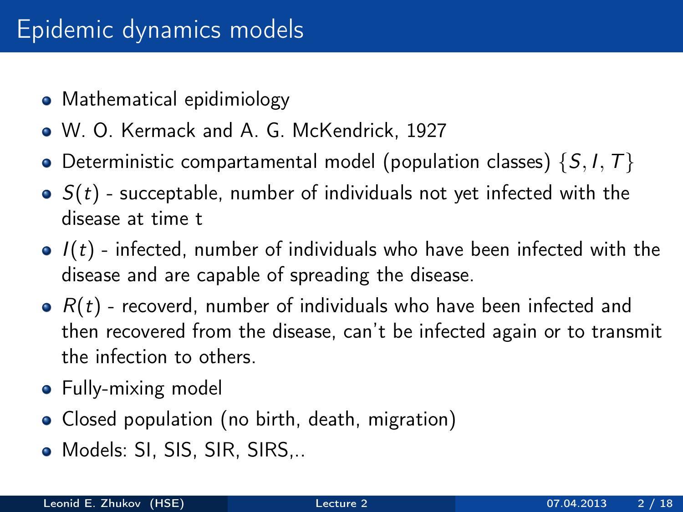# Epidemic dynamics models

- Mathematical epidimiology
- W. O. Kermack and A. G. McKendrick, 1927
- Deterministic compartamental model (population classes)  $\{S, I, T\}$
- $\bullet$   $S(t)$  succeptable, number of individuals not yet infected with the disease at time t
- $\bullet$   $I(t)$  infected, number of individuals who have been infected with the disease and are capable of spreading the disease.
- $\bullet$   $R(t)$  recoverd, number of individuals who have been infected and then recovered from the disease, can't be infected again or to transmit the infection to others.
- Fully-mixing model
- Closed population (no birth, death, migration)
- Models: SI, SIS, SIR, SIRS,..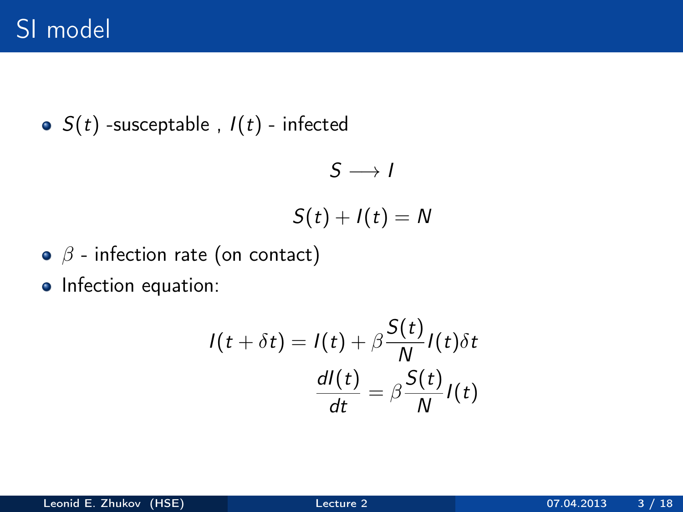• 
$$
S(t)
$$
 -susceptable,  $I(t)$  - infected

$$
S\longrightarrow I
$$

$$
S(t)+I(t)=N
$$

- $\bullet$   $\beta$  infection rate (on contact)
- Infection equation:

$$
I(t + \delta t) = I(t) + \beta \frac{S(t)}{N} I(t) \delta t
$$

$$
\frac{dI(t)}{dt} = \beta \frac{S(t)}{N} I(t)
$$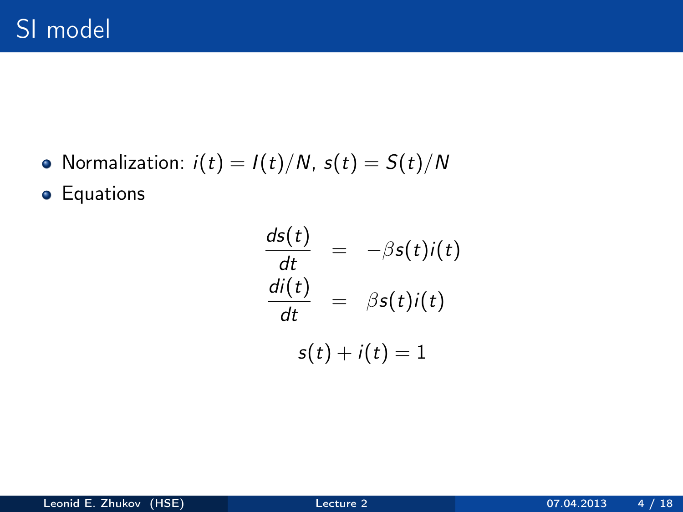• Normalization:  $i(t) = I(t)/N$ ,  $s(t) = S(t)/N$ 

**•** Equations

$$
\frac{ds(t)}{dt} = -\beta s(t)i(t)
$$

$$
\frac{di(t)}{dt} = \beta s(t)i(t)
$$

$$
s(t) + i(t) = 1
$$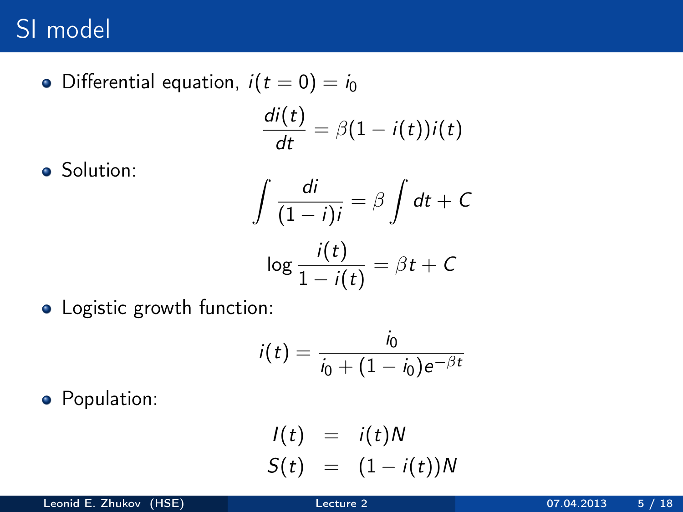• Differential equation,  $i(t = 0) = i_0$  $\frac{di(t)}{dt} = \beta(1 - i(t))i(t)$ 

• Solution:

$$
\int \frac{di}{(1-i)i} = \beta \int dt + C
$$

$$
\log \frac{i(t)}{1-i(t)} = \beta t + C
$$

• Logistic growth function:

$$
i(t) = \frac{i_0}{i_0 + (1 - i_0)e^{-\beta t}}
$$

**•** Population:

$$
I(t) = i(t)N
$$
  

$$
S(t) = (1 - i(t))N
$$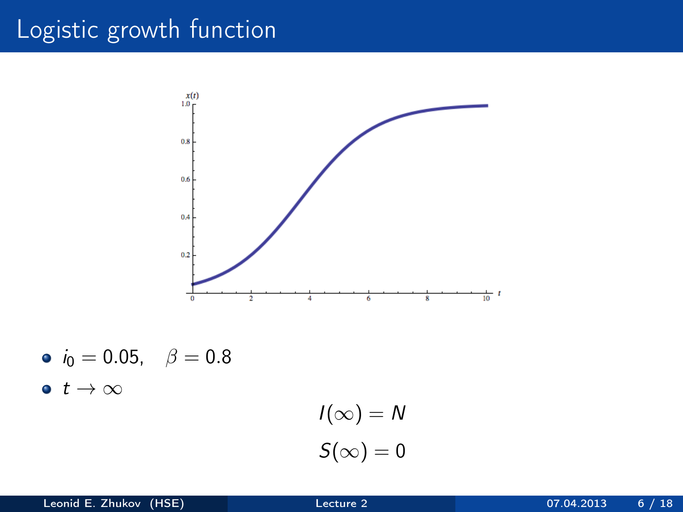# Logistic growth function



\n- $$
i_0 = 0.05
$$
,  $\beta = 0.8$
\n- $t \to \infty$
\n

$$
I(\infty) = N
$$

$$
S(\infty) = 0
$$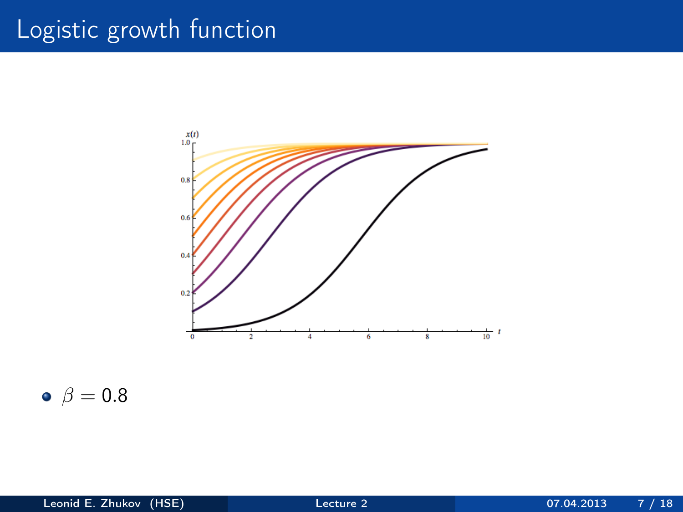# Logistic growth function



 $\bullet$   $\beta = 0.8$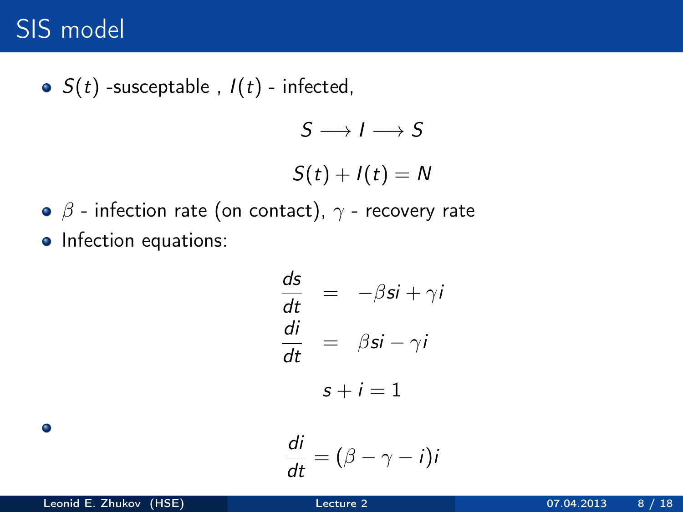# SIS model

• 
$$
S(t)
$$
 -susceptable ,  $I(t)$  - infected,  
\n
$$
S \longrightarrow I \longrightarrow S
$$
\n
$$
S(t) + I(t) = N
$$

• 
$$
\beta
$$
 - infection rate (on contact),  $\gamma$  - recovery rate

• Infection equations:

$$
\frac{ds}{dt} = -\beta si + \gamma i
$$
  

$$
\frac{di}{dt} = \beta si - \gamma i
$$
  

$$
s + i = 1
$$
  

$$
di
$$

$$
\frac{di}{dt}=(\beta-\gamma-i)i
$$

 $\bullet$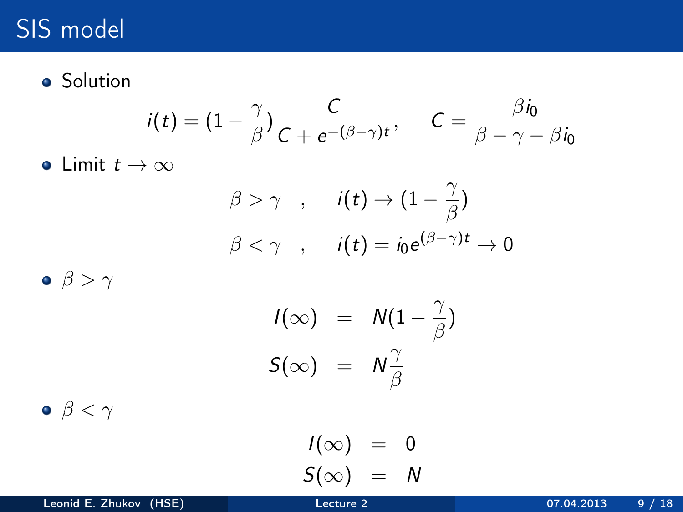# SIS model

**o** Solution

$$
i(t) = (1 - \frac{\gamma}{\beta}) \frac{C}{C + e^{-(\beta - \gamma)t}}, \quad C = \frac{\beta i_0}{\beta - \gamma - \beta i_0}
$$

• Limit  $t \to \infty$ 

$$
\begin{aligned}\n\beta > \gamma \quad , \quad i(t) \to (1 - \frac{\gamma}{\beta}) \\
\beta < \gamma \quad , \quad i(t) = i_0 e^{(\beta - \gamma)t} \to 0\n\end{aligned}
$$

 $\bullet$   $\beta > \gamma$ 

$$
I(\infty) = N(1 - \frac{\gamma}{\beta})
$$
  

$$
S(\infty) = N\frac{\gamma}{\beta}
$$

 $\bullet$   $\beta < \gamma$ 

$$
I(\infty) = 0
$$
  

$$
S(\infty) = N
$$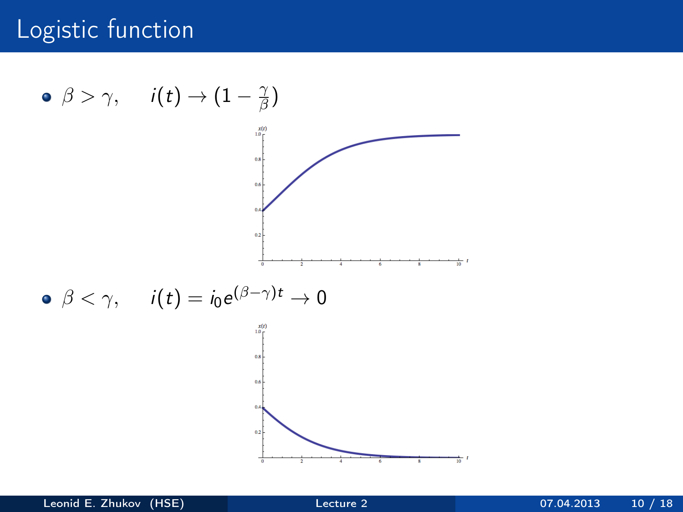#### Logistic function

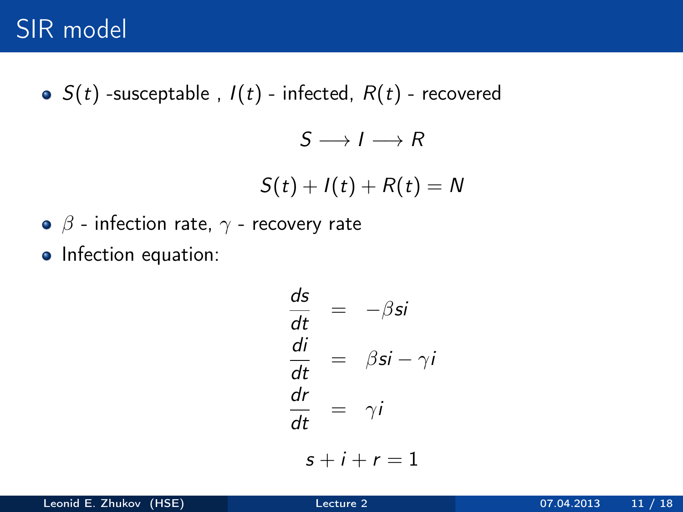$\bullet$   $S(t)$  -susceptable,  $I(t)$  - infected,  $R(t)$  - recovered

$$
S \longrightarrow I \longrightarrow R
$$
  

$$
S(t) + I(t) + R(t) = N
$$

- $\bullet$   $\beta$  infection rate,  $\gamma$  recovery rate
- Infection equation:

$$
\frac{ds}{dt} = -\beta si
$$
  

$$
\frac{di}{dt} = \beta si - \gamma i
$$
  

$$
\frac{dr}{dt} = \gamma i
$$
  

$$
s + i + r = 1
$$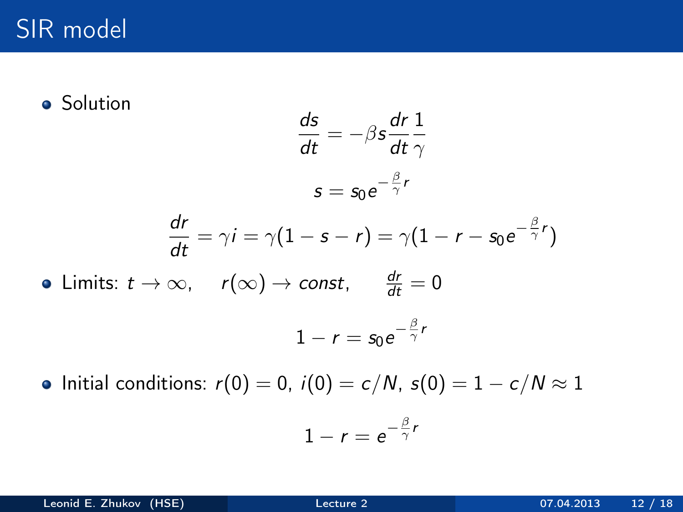$\bullet$ 

**•** Solution

$$
\frac{ds}{dt} = -\beta s \frac{dr}{dt} \frac{1}{\gamma}
$$

$$
s = s_0 e^{-\frac{\beta}{\gamma}r}
$$

$$
\frac{dr}{dt} = \gamma i = \gamma (1 - s - r) = \gamma (1 - r - s_0 e^{-\frac{\beta}{\gamma}r})
$$
  
Limits:  $t \to \infty$ ,  $r(\infty) \to const$ ,  $\frac{dr}{dt} = 0$   
 $1 - r = s_0 e^{-\frac{\beta}{\gamma}r}$ 

• Initial conditions:  $r(0) = 0$ ,  $i(0) = c/N$ ,  $s(0) = 1 - c/N \approx 1$ 

$$
1-r=e^{-\frac{\beta}{\gamma}r}
$$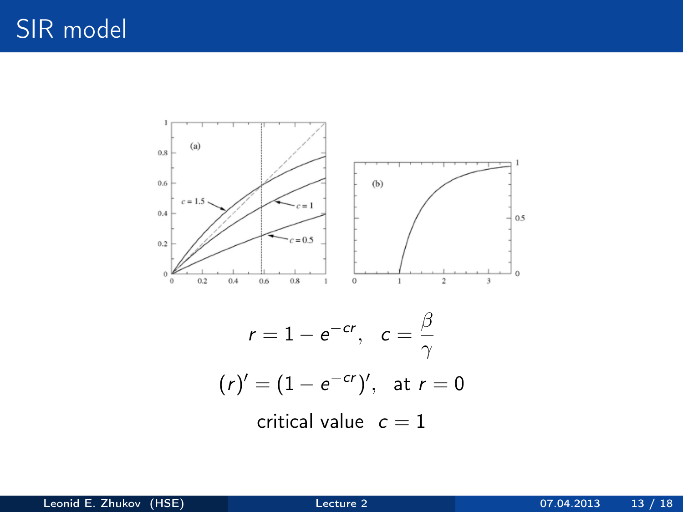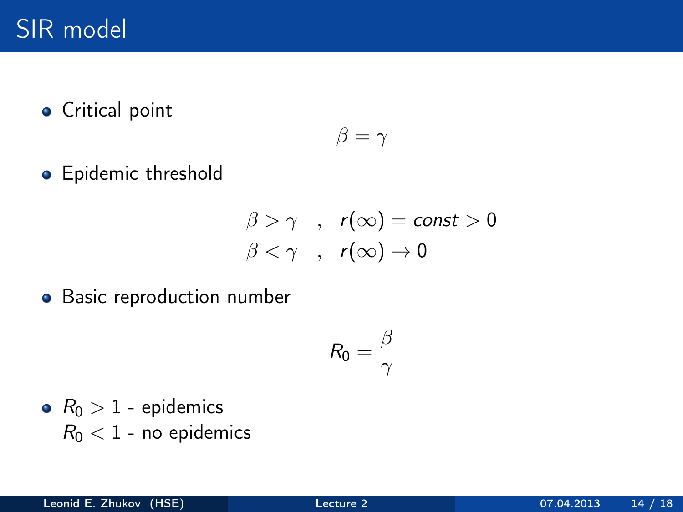Critical point

$$
\beta = \gamma
$$

• Epidemic threshold

$$
\begin{array}{ccc}\n\beta > \gamma & , & r(\infty) = \text{const} > 0 \\
\beta < \gamma & , & r(\infty) \to 0\n\end{array}
$$

**•** Basic reproduction number

$$
R_0=\frac{\beta}{\gamma}
$$

•  $R_0 > 1$  - epidemics  $R_0 < 1$  - no epidemics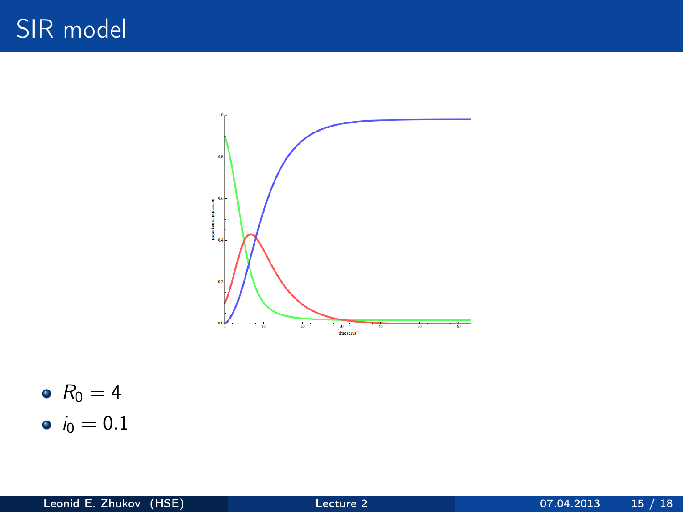



•  $i_0 = 0.1$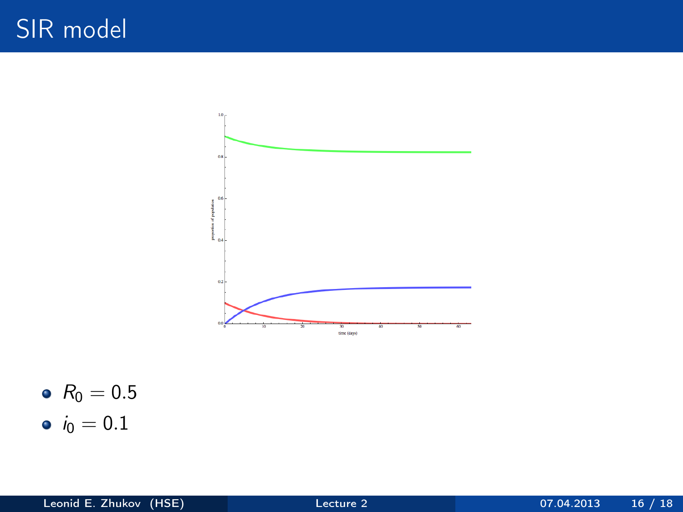

•  $R_0 = 0.5$ 

•  $i_0 = 0.1$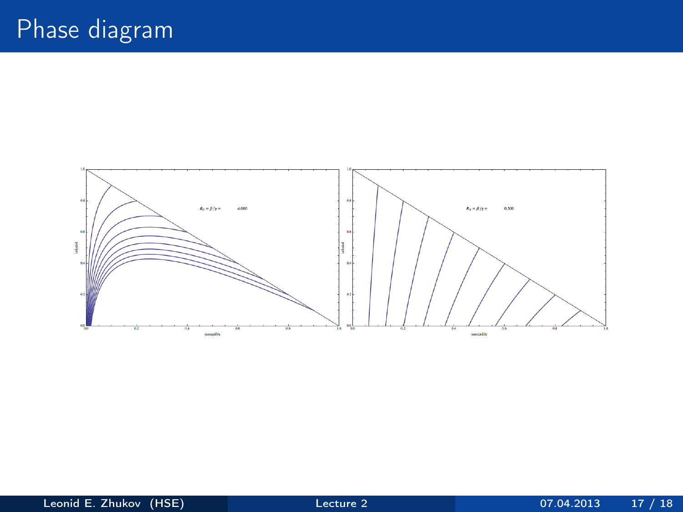